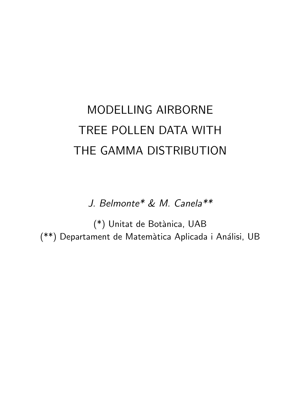# MODELLING AIRBORNE TREE POLLEN DATA WITH THE GAMMA DISTRIBUTION

J. Belmonte\* & M. Canela\*\*

(\*) Unitat de Botànica, UAB (\*\*) Departament de Matemàtica Aplicada i Análisi, UB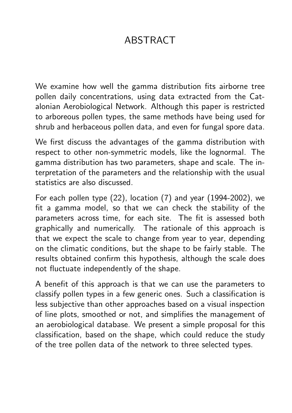# ABSTRACT

We examine how well the gamma distribution fits airborne tree pollen daily concentrations, using data extracted from the Catalonian Aerobiological Network. Although this paper is restricted to arboreous pollen types, the same methods have being used for shrub and herbaceous pollen data, and even for fungal spore data.

We first discuss the advantages of the gamma distribution with respect to other non-symmetric models, like the lognormal. The gamma distribution has two parameters, shape and scale. The interpretation of the parameters and the relationship with the usual statistics are also discussed.

For each pollen type (22), location (7) and year (1994-2002), we fit a gamma model, so that we can check the stability of the parameters across time, for each site. The fit is assessed both graphically and numerically. The rationale of this approach is that we expect the scale to change from year to year, depending on the climatic conditions, but the shape to be fairly stable. The results obtained confirm this hypothesis, although the scale does not fluctuate independently of the shape.

A benefit of this approach is that we can use the parameters to classify pollen types in a few generic ones. Such a classification is less subjective than other approaches based on a visual inspection of line plots, smoothed or not, and simplifies the management of an aerobiological database. We present a simple proposal for this classification, based on the shape, which could reduce the study of the tree pollen data of the network to three selected types.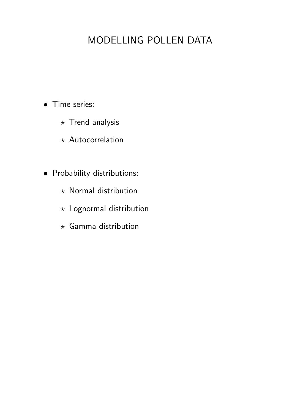## MODELLING POLLEN DATA

- Time series:
	- $\star$  Trend analysis
	- $\star$  Autocorrelation
- Probability distributions:
	- $\star$  Normal distribution
	- $\star$  Lognormal distribution
	- $\star$  Gamma distribution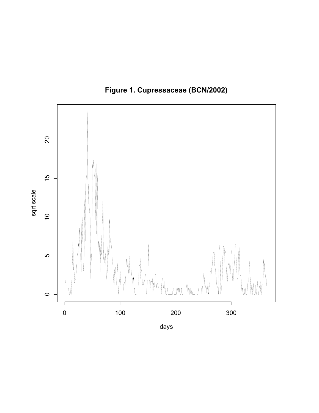

**Figure 1. Cupressaceae (BCN/2002)**

days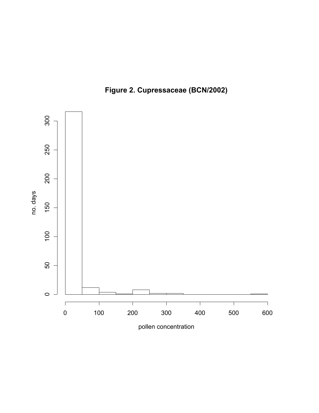

**Figure 2. Cupressaceae (BCN/2002)**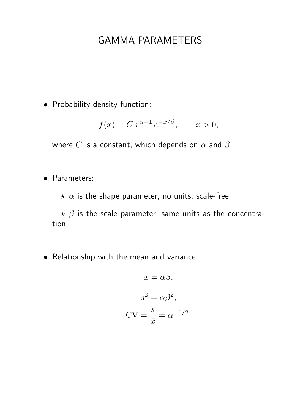#### GAMMA PARAMETERS

• Probability density function:

$$
f(x) = C x^{\alpha - 1} e^{-x/\beta}, \qquad x > 0,
$$

where C is a constant, which depends on  $\alpha$  and  $\beta$ .

• Parameters:

 $\star \alpha$  is the shape parameter, no units, scale-free.

 $\star$   $\beta$  is the scale parameter, same units as the concentration.

• Relationship with the mean and variance:

$$
\bar{x} = \alpha \beta,
$$
  

$$
s^2 = \alpha \beta^2,
$$
  

$$
CV = \frac{s}{\bar{x}} = \alpha^{-1/2}.
$$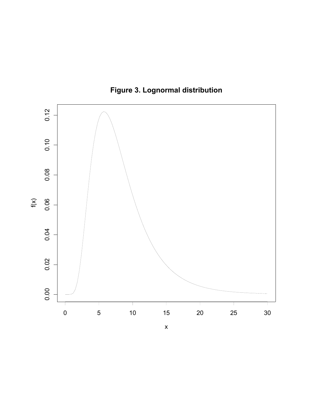

**Figure 3. Lognormal distribution**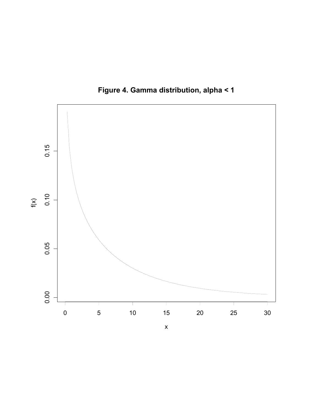

**Figure 4. Gamma distribution, alpha < 1**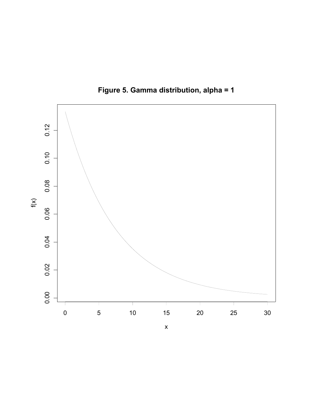

**Figure 5. Gamma distribution, alpha = 1**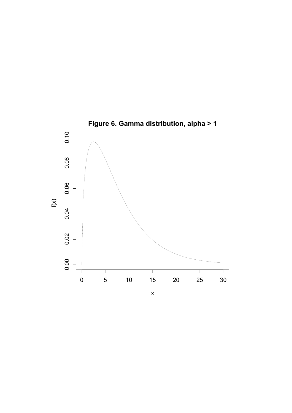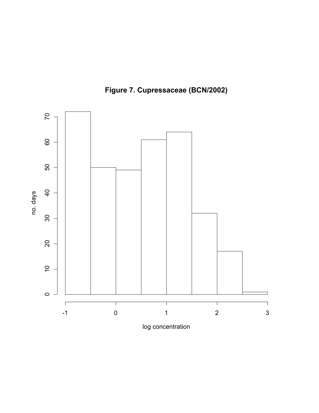

**Figure 7. Cupressaceae (BCN/2002)**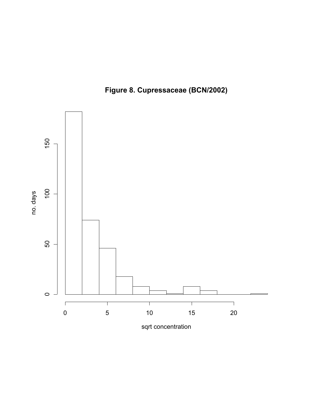



sqrt concentration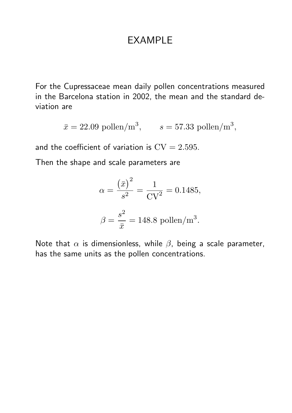#### EXAMPLE

For the Cupressaceae mean daily pollen concentrations measured in the Barcelona station in 2002, the mean and the standard deviation are

$$
\bar{x} = 22.09 \text{ pollen/m}^3
$$
,  $s = 57.33 \text{ pollen/m}^3$ ,

and the coefficient of variation is  $CV = 2.595$ .

Then the shape and scale parameters are

$$
\alpha = \frac{(\bar{x})^2}{s^2} = \frac{1}{CV^2} = 0.1485,
$$

$$
\beta = \frac{s^2}{\bar{x}} = 148.8 \text{ pollen/m}^3.
$$

Note that  $\alpha$  is dimensionless, while  $\beta$ , being a scale parameter, has the same units as the pollen concentrations.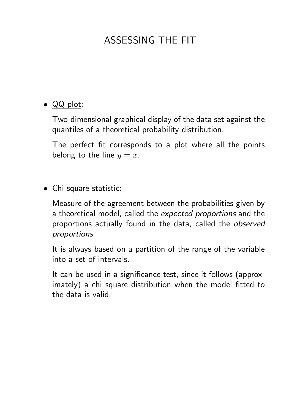# ASSESSING THE FIT

#### • QQ plot:

Two-dimensional graphical display of the data set against the quantiles of a theoretical probability distribution.

The perfect fit corresponds to a plot where all the points belong to the line  $y = x$ .

#### • Chi square statistic:

Measure of the agreement between the probabilities given by a theoretical model, called the expected proportions and the proportions actually found in the data, called the observed proportions.

It is always based on a partition of the range of the variable into a set of intervals.

It can be used in a significance test, since it follows (approximately) a chi square distribution when the model fitted to the data is valid.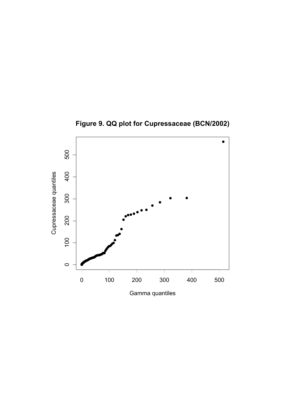

**Figure 9. QQ plot for Cupressaceae (BCN/2002)**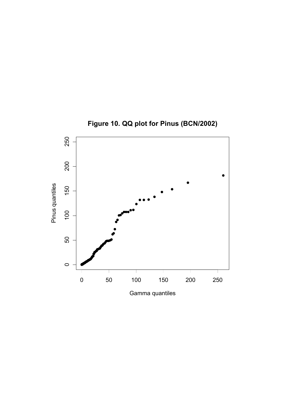

**Figure 10. QQ plot for Pinus (BCN/2002)**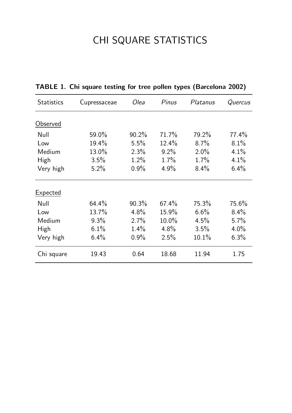# CHI SQUARE STATISTICS

| <b>Statistics</b> | Cupressaceae | Olea     | Pinus    | Platanus | Quercus |
|-------------------|--------------|----------|----------|----------|---------|
|                   |              |          |          |          |         |
| Observed          |              |          |          |          |         |
| Null              | 59.0%        | $90.2\%$ | 71.7%    | 79.2%    | 77.4%   |
| Low               | 19.4%        | 5.5%     | $12.4\%$ | 8.7%     | 8.1%    |
| Medium            | 13.0%        | 2.3%     | $9.2\%$  | $2.0\%$  | 4.1%    |
| High              | 3.5%         | $1.2\%$  | $1.7\%$  | $1.7\%$  | 4.1%    |
| Very high         | 5.2%         | $0.9\%$  | $4.9\%$  | 8.4%     | $6.4\%$ |
| Expected          |              |          |          |          |         |
| Null              | 64.4%        | 90.3%    | $67.4\%$ | 75.3%    | 75.6%   |
| Low               | 13.7%        | 4.8%     | 15.9%    | 6.6%     | $8.4\%$ |
| Medium            | $9.3\%$      | $2.7\%$  | $10.0\%$ | 4.5%     | $5.7\%$ |
| High              | 6.1%         | 1.4%     | 4.8%     | 3.5%     | $4.0\%$ |
| Very high         | 6.4%         | 0.9%     | 2.5%     | 10.1%    | 6.3%    |
| Chi square        | 19.43        | 0.64     | 18.68    | 11.94    | 1.75    |

TABLE 1. Chi square testing for tree pollen types (Barcelona 2002)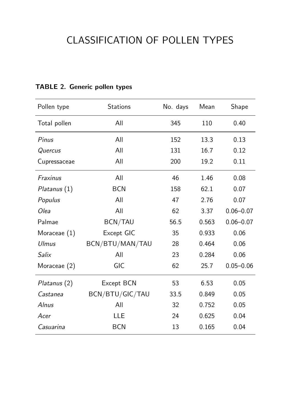### CLASSIFICATION OF POLLEN TYPES

| Pollen type     | <b>Stations</b> | No. days | Mean  | Shape         |
|-----------------|-----------------|----------|-------|---------------|
| Total pollen    | All             | 345      | 110   | 0.40          |
| Pinus           | All             | 152      | 13.3  | 0.13          |
| Quercus         | All             | 131      | 16.7  | 0.12          |
| Cupressaceae    | All             | 200      | 19.2  | 0.11          |
| <b>Fraxinus</b> | All             | 46       | 1.46  | 0.08          |
| Platanus (1)    | <b>BCN</b>      | 158      | 62.1  | 0.07          |
| Populus         | All             | 47       | 2.76  | 0.07          |
| <i>Olea</i>     | All             | 62       | 3.37  | $0.06 - 0.07$ |
| Palmae          | <b>BCN/TAU</b>  | 56.5     | 0.563 | $0.06 - 0.07$ |
| Moraceae $(1)$  | Except GIC      | 35       | 0.933 | 0.06          |
| <b>Ulmus</b>    | BCN/BTU/MAN/TAU | 28       | 0.464 | 0.06          |
| Salix           | All             | 23       | 0.284 | 0.06          |
| Moraceae (2)    | GIC             | 62       | 25.7  | $0.05 - 0.06$ |
| Platanus (2)    | Except BCN      | 53       | 6.53  | 0.05          |
| Castanea        | BCN/BTU/GIC/TAU | 33.5     | 0.849 | 0.05          |
| Alnus           | All             | 32       | 0.752 | 0.05          |
| Acer            | <b>LLE</b>      | 24       | 0.625 | 0.04          |
| Casuarina       | <b>BCN</b>      | 13       | 0.165 | 0.04          |

#### TABLE 2. Generic pollen types